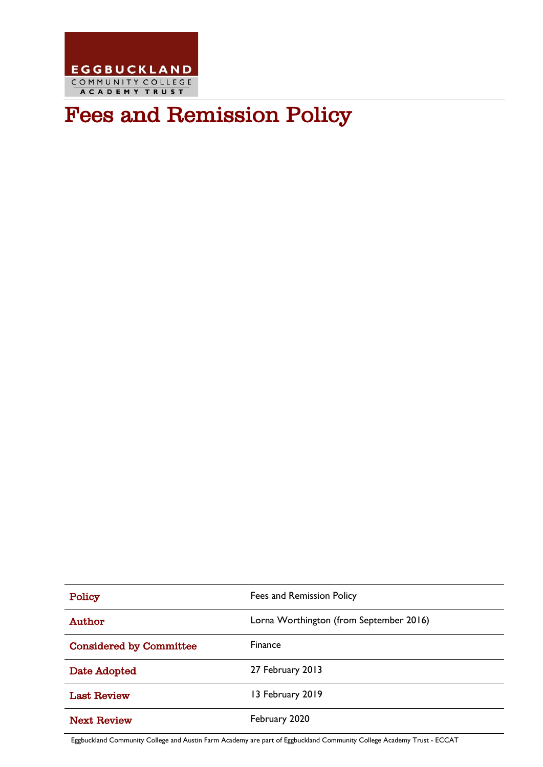

# Fees and Remission Policy

| Policy                         | Fees and Remission Policy               |
|--------------------------------|-----------------------------------------|
| Author                         | Lorna Worthington (from September 2016) |
| <b>Considered by Committee</b> | Finance                                 |
| Date Adopted                   | 27 February 2013                        |
| <b>Last Review</b>             | 13 February 2019                        |
| <b>Next Review</b>             | February 2020                           |

Eggbuckland Community College and Austin Farm Academy are part of Eggbuckland Community College Academy Trust - ECCAT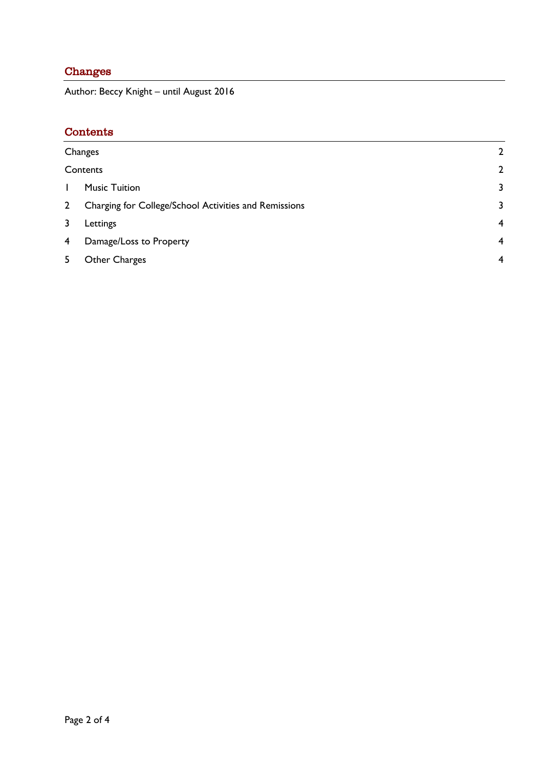### <span id="page-1-0"></span>Changes

Author: Beccy Knight – until August 2016

## <span id="page-1-1"></span>Contents

| Changes        |                                                       | $\overline{2}$ |
|----------------|-------------------------------------------------------|----------------|
|                | Contents                                              | $\overline{2}$ |
| $\mathbf{L}$   | <b>Music Tuition</b>                                  | 3              |
| 2 <sup>1</sup> | Charging for College/School Activities and Remissions | 3              |
| 3              | Lettings                                              | $\overline{4}$ |
| 4              | Damage/Loss to Property                               | $\overline{4}$ |
| 5              | Other Charges                                         | $\overline{4}$ |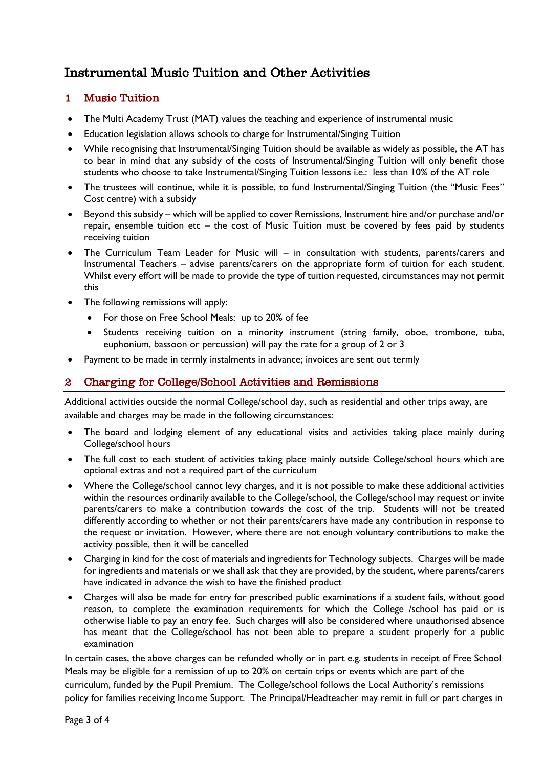# Instrumental Music Tuition and Other Activities

#### <span id="page-2-0"></span>1 Music Tuition

- The Multi Academy Trust (MAT) values the teaching and experience of instrumental music
- Education legislation allows schools to charge for Instrumental/Singing Tuition
- While recognising that Instrumental/Singing Tuition should be available as widely as possible, the AT has to bear in mind that any subsidy of the costs of Instrumental/Singing Tuition will only benefit those students who choose to take Instrumental/Singing Tuition lessons i.e.: less than 10% of the AT role
- The trustees will continue, while it is possible, to fund Instrumental/Singing Tuition (the "Music Fees" Cost centre) with a subsidy
- Beyond this subsidy which will be applied to cover Remissions, Instrument hire and/or purchase and/or repair, ensemble tuition etc – the cost of Music Tuition must be covered by fees paid by students receiving tuition
- The Curriculum Team Leader for Music will in consultation with students, parents/carers and Instrumental Teachers – advise parents/carers on the appropriate form of tuition for each student. Whilst every effort will be made to provide the type of tuition requested, circumstances may not permit this
- The following remissions will apply:
	- For those on Free School Meals: up to 20% of fee
	- Students receiving tuition on a minority instrument (string family, oboe, trombone, tuba, euphonium, bassoon or percussion) will pay the rate for a group of 2 or 3
- Payment to be made in termly instalments in advance; invoices are sent out termly

#### <span id="page-2-1"></span>2 Charging for College/School Activities and Remissions

Additional activities outside the normal College/school day, such as residential and other trips away, are available and charges may be made in the following circumstances:

- The board and lodging element of any educational visits and activities taking place mainly during College/school hours
- The full cost to each student of activities taking place mainly outside College/school hours which are optional extras and not a required part of the curriculum
- Where the College/school cannot levy charges, and it is not possible to make these additional activities within the resources ordinarily available to the College/school, the College/school may request or invite parents/carers to make a contribution towards the cost of the trip. Students will not be treated differently according to whether or not their parents/carers have made any contribution in response to the request or invitation. However, where there are not enough voluntary contributions to make the activity possible, then it will be cancelled
- Charging in kind for the cost of materials and ingredients for Technology subjects. Charges will be made for ingredients and materials or we shall ask that they are provided, by the student, where parents/carers have indicated in advance the wish to have the finished product
- Charges will also be made for entry for prescribed public examinations if a student fails, without good reason, to complete the examination requirements for which the College /school has paid or is otherwise liable to pay an entry fee. Such charges will also be considered where unauthorised absence has meant that the College/school has not been able to prepare a student properly for a public examination

In certain cases, the above charges can be refunded wholly or in part e.g. students in receipt of Free School Meals may be eligible for a remission of up to 20% on certain trips or events which are part of the curriculum, funded by the Pupil Premium. The College/school follows the Local Authority's remissions policy for families receiving Income Support. The Principal/Headteacher may remit in full or part charges in